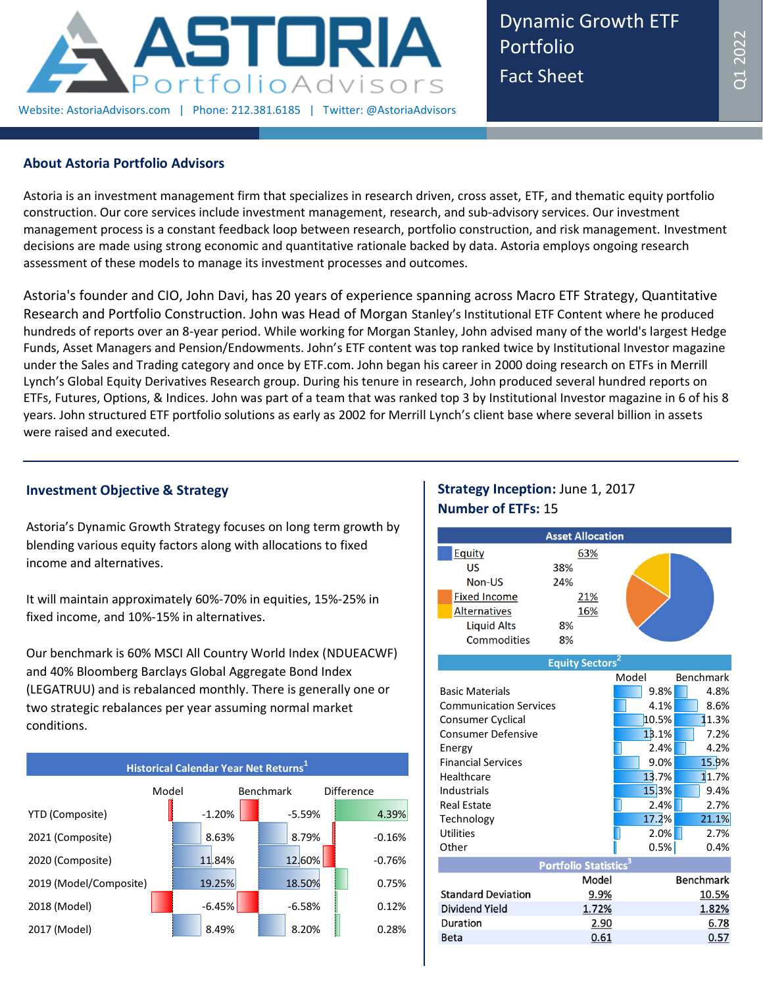

Dynamic Growth ETF Portfolio Fact Sheet

### **About Astoria Portfolio Advisors**

Astoria is an investment management firm that specializes in research driven, cross asset, ETF, and thematic equity portfolio construction. Our core services include investment management, research, and sub-advisory services. Our investment management process is a constant feedback loop between research, portfolio construction, and risk management. Investment decisions are made using strong economic and quantitative rationale backed by data. Astoria employs ongoing research assessment of these models to manage its investment processes and outcomes.

Astoria's founder and CIO, John Davi, has 20 years of experience spanning across Macro ETF Strategy, Quantitative Research and Portfolio Construction. John was Head of Morgan Stanley's Institutional ETF Content where he produced hundreds of reports over an 8-year period. While working for Morgan Stanley, John advised many of the world's largest Hedge Funds, Asset Managers and Pension/Endowments. John's ETF content was top ranked twice by Institutional Investor magazine under the Sales and Trading category and once by ETF.com. John began his career in 2000 doing research on ETFs in Merrill Lynch's Global Equity Derivatives Research group. During his tenure in research, John produced several hundred reports on ETFs, Futures, Options, & Indices. John was part of a team that was ranked top 3 by Institutional Investor magazine in 6 of his 8 years. John structured ETF portfolio solutions as early as 2002 for Merrill Lynch's client base where several billion in assets were raised and executed.

# **Investment Objective & Strategy**

Astoria's Dynamic Growth Strategy focuses on long term growth by blending various equity factors along with allocations to fixed income and alternatives.

It will maintain approximately 60%-70% in equities, 15%-25% in fixed income, and 10%-15% in alternatives.

Our benchmark is 60% MSCI All Country World Index (NDUEACWF) and 40% Bloomberg Barclays Global Aggregate Bond Index (LEGATRUU) and is rebalanced monthly. There is generally one or two strategic rebalances per year assuming normal market conditions.



## **Strategy Inception:** June 1, 2017 **Number of ETFs:** 15



| Basic Materials               |                             | 9.8%  | 4.8%             |
|-------------------------------|-----------------------------|-------|------------------|
| <b>Communication Services</b> |                             | 4.1%  | 8.6%             |
| Consumer Cyclical             |                             | 10.5% | 11.3%            |
| <b>Consumer Defensive</b>     |                             | 13.1% | 7.2%             |
| Energy                        |                             | 2.4%  | 4.2%             |
| <b>Financial Services</b>     |                             | 9.0%  | 15.9%            |
| Healthcare                    |                             | 13.7% | 11.7%            |
| Industrials                   |                             | 15.3% | 9.4%             |
| <b>Real Estate</b>            |                             | 2.4%  | 2.7%             |
| Technology                    |                             | 17.2% | 21.1%            |
| <b>Utilities</b>              |                             | 2.0%  | 2.7%             |
| Other                         |                             | 0.5%  | 0.4%             |
|                               | <b>Portfolio Statistics</b> |       |                  |
|                               | Model                       |       | <b>Benchmark</b> |
| <b>Standard Deviation</b>     | 9.9%                        |       | 10.5%            |
| Dividend Yield                | 1.72%                       |       | 1.82%            |
| Duration                      | 2.90                        |       | 6.78             |
| Beta                          | 0.61                        |       | 0.57             |
|                               |                             |       |                  |